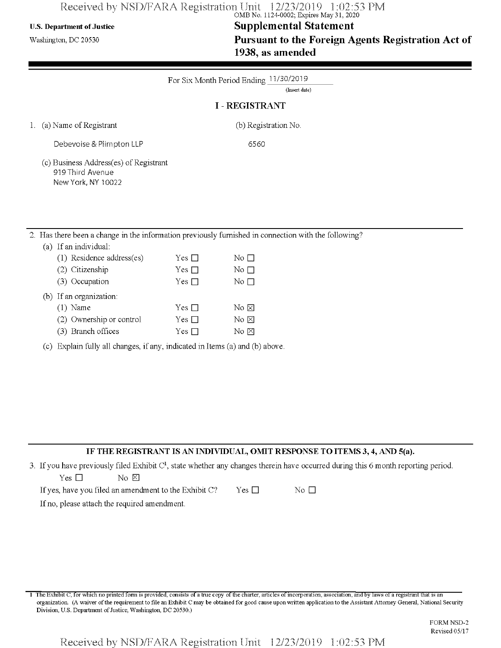# Received by NSD/FARA Registration Unit 12/23/2019 1:02:53 PM<br>
OMB No. 1124-0002; Expires May 31, 2020

## U.S. Department ofJustice **Supplemental Statement**

Washington, dc <sup>20530</sup> **Pursuant to the Foreign Agents Registration Act of 1938, as amended**

|                                                                                                      |               | For Six Month Period Ending 11/30/2019<br>(Insert date) |
|------------------------------------------------------------------------------------------------------|---------------|---------------------------------------------------------|
|                                                                                                      |               | <b>I - REGISTRANT</b>                                   |
| 1. (a) Name of Registrant                                                                            |               | (b) Registration No.                                    |
| Debevoise & Plimpton LLP                                                                             |               | 6560                                                    |
| (c) Business Address(es) of Registrant<br>919 Third Avenue<br>New York, NY 10022                     |               |                                                         |
| 2. Has there been a change in the information previously furnished in connection with the following? |               |                                                         |
| (a) If an individual:                                                                                |               |                                                         |
| (1) Residence address(es)                                                                            | Yes $\square$ | No $\Box$                                               |
| (2) Citizenship                                                                                      | Yes $\square$ | No $\Box$                                               |

No  $\boxtimes$ No  $\boxtimes$  $No \boxtimes$ 

 $Yes \Box$  No  $\Box$ 

Yes  $\square$ Yes  $\Box$ Yes  $\square$ 

(c) Explain fully all changes, if any, indicated in Items (a) and (b) above.

#### **IF THE REGISTRANT IS AN INDIVIDUAL, OMIT RESPONSE TO ITEMS 3,4, AND 5(a).**

3. If you have previously filed Exhibit  $C<sup>1</sup>$ , state whether any changes therein have occurred during this 6 month reporting period.

| Yes □ |  | $\rm No~\sum$ |  |
|-------|--|---------------|--|

(3) Occupation (b) If an organization: (1) Name

> (2) Ownership or control (3) Branch offices

If no, please attach the required amendment.

<sup>1</sup> The Exhibit C, for which no printed form is provided, consists of a true copy ofthe charter, articles ofincorporation, association, and by laws of a registrant that is an organization. (A waiver ofthe requirement to file an Exhibit C may be obtained for good cause upon written application to the Assistant Attorney General, National Security Division, U.S. Department of Justice, Washington, DC 20530.)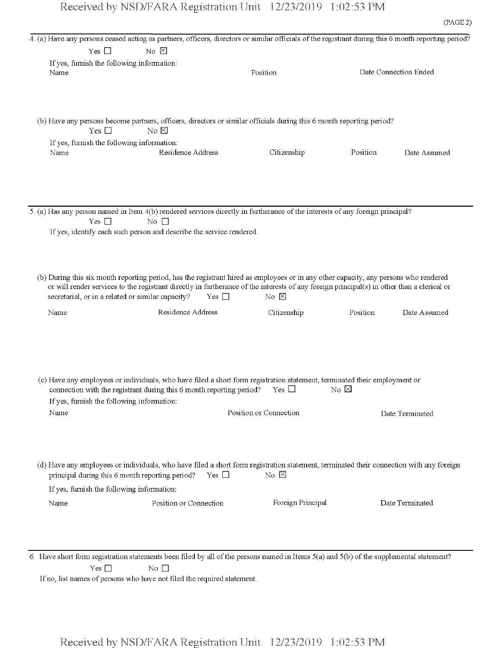|      |                                            | 4. (a) Have any persons ceased acting as partners, officers, directors or similar officials of the registrant during this 6 month reporting period? |                        |                                     |                       |
|------|--------------------------------------------|-----------------------------------------------------------------------------------------------------------------------------------------------------|------------------------|-------------------------------------|-----------------------|
|      | Yes $\square$                              | $\overline{N_0}$ $\overline{\boxtimes}$                                                                                                             |                        |                                     |                       |
| Name | If yes, furnish the following information: |                                                                                                                                                     | Position               |                                     | Date Connection Ended |
|      |                                            |                                                                                                                                                     |                        |                                     |                       |
|      |                                            |                                                                                                                                                     |                        |                                     |                       |
|      |                                            |                                                                                                                                                     |                        |                                     |                       |
|      | Yes $\Box$                                 | (b) Have any persons become partners, officers, directors or similar officials during this 6 month reporting period?<br>No E                        |                        |                                     |                       |
|      | If yes, furnish the following information: |                                                                                                                                                     |                        |                                     |                       |
| Name |                                            | Residence Address                                                                                                                                   | Citizenship            | Position                            | Date Assumed          |
|      |                                            |                                                                                                                                                     |                        |                                     |                       |
|      |                                            |                                                                                                                                                     |                        |                                     |                       |
|      |                                            |                                                                                                                                                     |                        |                                     |                       |
|      | Yes $\Box$                                 | 5. (a) Has any person named in Item 4(b) rendered services directly in furtherance of the interests of any foreign principal?<br>No $\square$       |                        |                                     |                       |
|      |                                            | If yes, identify each such person and describe the service rendered.                                                                                |                        |                                     |                       |
|      |                                            |                                                                                                                                                     |                        |                                     |                       |
|      |                                            |                                                                                                                                                     |                        |                                     |                       |
|      |                                            | (b) During this six month reporting period, has the registrant hired as employees or in any other capacity, any persons who rendered                |                        |                                     |                       |
|      |                                            | or will render services to the registrant directly in furtherance of the interests of any foreign principal(s) in other than a clerical or          |                        |                                     |                       |
|      |                                            | secretarial, or in a related or similar capacity?<br>Yes $\square$                                                                                  | No $\boxtimes$         |                                     |                       |
| Name |                                            | Residence Address                                                                                                                                   | Citizenship            | Position                            | Date Assumed          |
|      |                                            |                                                                                                                                                     |                        |                                     |                       |
|      |                                            |                                                                                                                                                     |                        |                                     |                       |
|      |                                            |                                                                                                                                                     |                        |                                     |                       |
|      |                                            | (c) Have any employees or individuals, who have filed a short form registration statement, terminated their employment or                           |                        |                                     |                       |
|      |                                            | connection with the registrant during this 6 month reporting period?                                                                                | Yes $\Box$             | $\overline{N}$ $\overline{\bowtie}$ |                       |
|      | If yes, furnish the following information: |                                                                                                                                                     |                        |                                     |                       |
| Name |                                            |                                                                                                                                                     | Position or Connection |                                     | Date Terminated       |
|      |                                            |                                                                                                                                                     |                        |                                     |                       |
|      |                                            |                                                                                                                                                     |                        |                                     |                       |
|      |                                            | (d) Have any employees or individuals, who have filed a short form registration statement, terminated their connection with any foreign             |                        |                                     |                       |
|      |                                            | Yes $\square$<br>principal during this 6 month reporting period?                                                                                    | No $\Sigma$            |                                     |                       |
|      | If yes, furnish the following information: |                                                                                                                                                     |                        |                                     |                       |
| Name |                                            | Position or Connection                                                                                                                              | Foreign Principal      |                                     | Date Terminated       |
|      |                                            |                                                                                                                                                     |                        |                                     |                       |
|      |                                            |                                                                                                                                                     |                        |                                     |                       |

6. Have short form registration statements been filed by all of the persons named in Items  $5(a)$  and  $5(b)$  of the supplemental statement?  $Yes \Box$  No  $\Box$ 

If no, list names of persons who have not filed the required statement.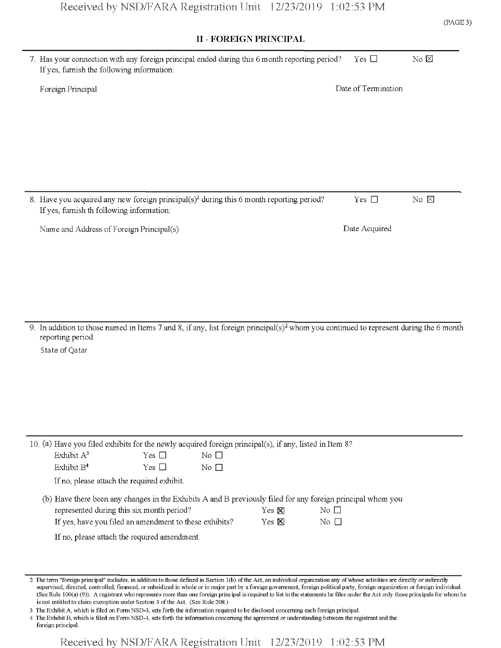## $\overline{\phantom{a}}$

| II - FOREIGN PRINCIPAL                                                                                                                                                 |                     |                |
|------------------------------------------------------------------------------------------------------------------------------------------------------------------------|---------------------|----------------|
| 7. Has your connection with any foreign principal ended during this 6 month reporting period?<br>If yes, furnish the following information:                            | Yes $\square$       | $No \boxtimes$ |
| Foreign Principal                                                                                                                                                      | Date of Termination |                |
|                                                                                                                                                                        |                     |                |
|                                                                                                                                                                        |                     |                |
|                                                                                                                                                                        |                     |                |
|                                                                                                                                                                        |                     |                |
|                                                                                                                                                                        |                     |                |
| 8. Have you acquired any new foreign principal(s) <sup>2</sup> during this 6 month reporting period?<br>If yes, furnish th following information:                      | Yes $\square$       | No $\boxtimes$ |
| Name and Address of Foreign Principal(s)                                                                                                                               | Date Acquired       |                |
|                                                                                                                                                                        |                     |                |
|                                                                                                                                                                        |                     |                |
|                                                                                                                                                                        |                     |                |
|                                                                                                                                                                        |                     |                |
| 9. In addition to those named in Items 7 and 8, if any, list foreign principal(s) <sup>2</sup> whom you continued to represent during the 6 month<br>reporting period. |                     |                |
| State of Qatar                                                                                                                                                         |                     |                |
|                                                                                                                                                                        |                     |                |
|                                                                                                                                                                        |                     |                |
|                                                                                                                                                                        |                     |                |
|                                                                                                                                                                        |                     |                |
| 10. (a) Have you filed exhibits for the newly acquired foreign principal(s), if any, listed in Item 8?                                                                 |                     |                |
| Exhibit A <sup>3</sup><br>No $\square$<br>Yes $\Box$<br>Exhibit B <sup>4</sup><br>Yes $\Box$<br>$\rm No$ $\Box$                                                        |                     |                |
| If no, please attach the required exhibit.                                                                                                                             |                     |                |
| (b) Have there been any changes in the Exhibits A and B previously filed for any foreign principal whom you                                                            |                     |                |
| represented during this six month period?<br>Yes $\boxtimes$<br>No $\square$<br>If yes, have you filed an amendment to these exhibits?<br>Yes <b>図</b><br>No $\square$ |                     |                |
| If no, please attach the required amendment.                                                                                                                           |                     |                |
|                                                                                                                                                                        |                     |                |
| 2. The town "fergion principal" includes in addition to these defined in Section 1(b) of the Act on individual appenization any of whose estimities are directly       |                     | an indinaath   |

2 The term "foreign principal" includes, in addition to those defined in Section 1(b) ofthe Act, an individual organization any ofwhose activities are directly or indirectly supervised, directed, controlled, financed, or subsidized in whole or in major part by a foreign government, foreign political party, foreign organization or foreign individual. (See Rule 100(a) (9)). A registrant who represents more than one foreign principal is required to list in the statements he files under the Act only those principals for whom he is not entitled to claim exemption under Section 3 of the Act. (See Rule 208.)

3 The Exhibit A, which is filed on FormNSD-3, sets forth the information required to be disclosed concerning each foreign principal.

4 The Exhibit B, which is filed on FormNSD-4, sets forth the information concerning the agreement or understanding between the registrant and the foreign principal.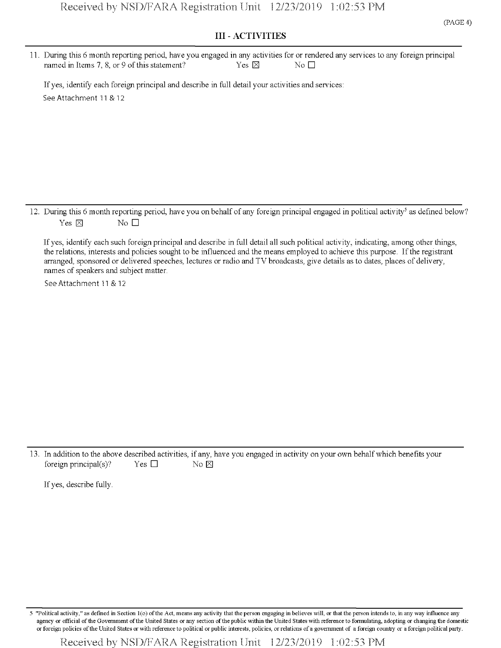11. During this 6 month reporting period, have you engaged in any activities for or rendered any services to any foreign principal named in Items 7, 8, or 9 of this statement? Yes  $\boxtimes$  Yes  $\boxtimes$ 

If yes, identify each foreign principal and describe in full detail your activities and services: See Attachment <sup>11</sup> & 12

12. During this 6 month reporting period, have you on behalf of any foreign principal engaged in political activity<sup>5</sup> as defined below? Yes  $\boxtimes$  No  $\Box$ 

If yes, identify each such foreign principal and describe in full detail all such political activity, indicating, among other things, the relations, interests and policies sought to be influenced and the means employed to achieve this purpose. Ifthe registrant arranged, sponsored or delivered speeches, lectures or radio and TV broadcasts, give details as to dates, places of delivery, names of speakers and subject matter.

See Attachment 11 & 12

13. In addition to the above described activities, if any, have you engaged in activity on your own behalfwhich benefits your foreign principal(s)? Yes  $\square$  No  $\boxtimes$ 

If yes, describe fully.

"Political activity," as defined in Section 1(o) of the Act, means any activity that the person engaging in believes will, or that the person intends to, in any way influence any agency or official of the Government of the United States or any section of the public within the United States with reference to formulating, adopting or changing the domestic or foreign policies ofthe United States or with reference to political or public interests, policies, or relations of a government of a foreign country or a foreign political party.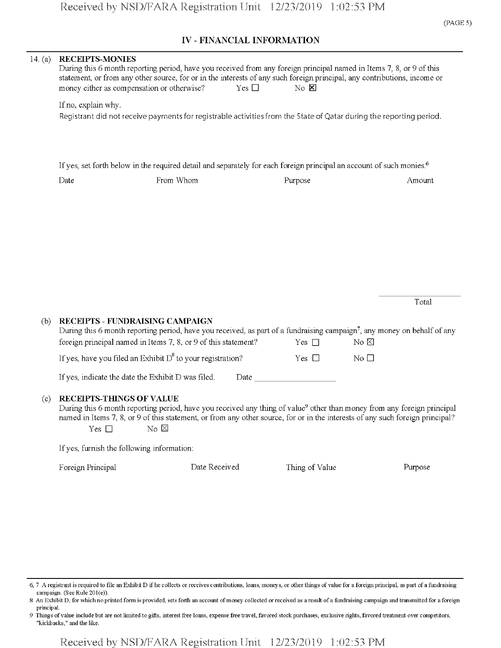### IV - FINANCIAL INFORMATION

| 14. $(a)$ | <b>RECEIPTS-MONIES</b><br>During this 6 month reporting period, have you received from any foreign principal named in Items 7, 8, or 9 of this<br>statement, or from any other source, for or in the interests of any such foreign principal, any contributions, income or<br>$No$ $X$<br>money either as compensation or otherwise?<br>Yes $\Box$ |                                                                                                                                                                                                                                                                                                                                                               |                |                 |  |  |  |  |
|-----------|----------------------------------------------------------------------------------------------------------------------------------------------------------------------------------------------------------------------------------------------------------------------------------------------------------------------------------------------------|---------------------------------------------------------------------------------------------------------------------------------------------------------------------------------------------------------------------------------------------------------------------------------------------------------------------------------------------------------------|----------------|-----------------|--|--|--|--|
|           | If no, explain why.                                                                                                                                                                                                                                                                                                                                | Registrant did not receive payments for registrable activities from the State of Qatar during the reporting period.                                                                                                                                                                                                                                           |                |                 |  |  |  |  |
|           |                                                                                                                                                                                                                                                                                                                                                    | If yes, set forth below in the required detail and separately for each foreign principal an account of such monies. <sup>6</sup>                                                                                                                                                                                                                              |                |                 |  |  |  |  |
|           | Date                                                                                                                                                                                                                                                                                                                                               | From Whom                                                                                                                                                                                                                                                                                                                                                     | Purpose        | Amount          |  |  |  |  |
|           |                                                                                                                                                                                                                                                                                                                                                    |                                                                                                                                                                                                                                                                                                                                                               |                | Total           |  |  |  |  |
| (b)       |                                                                                                                                                                                                                                                                                                                                                    | RECEIPTS - FUNDRAISING CAMPAIGN<br>During this 6 month reporting period, have you received, as part of a fundraising campaign <sup>7</sup> , any money on behalf of any<br>foreign principal named in Items 7, 8, or 9 of this statement?                                                                                                                     | Yes $\Box$     | No E            |  |  |  |  |
|           |                                                                                                                                                                                                                                                                                                                                                    | If yes, have you filed an Exhibit $D^8$ to your registration?                                                                                                                                                                                                                                                                                                 | Yes $\Box$     | $\rm No$ $\Box$ |  |  |  |  |
|           |                                                                                                                                                                                                                                                                                                                                                    | If yes, indicate the date the Exhibit D was filed.                                                                                                                                                                                                                                                                                                            | Date           |                 |  |  |  |  |
| (c)       | <b>RECEIPTS-THINGS OF VALUE</b><br>Yes $\square$                                                                                                                                                                                                                                                                                                   | During this 6 month reporting period, have you received any thing of value <sup>9</sup> other than money from any foreign principal<br>named in Items 7, 8, or 9 of this statement, or from any other source, for or in the interests of any such foreign principal?<br>$\overline{N_0}$ $\overline{\boxtimes}$<br>If yes, furnish the following information: |                |                 |  |  |  |  |
|           | Foreign Principal                                                                                                                                                                                                                                                                                                                                  | Date Received                                                                                                                                                                                                                                                                                                                                                 | Thing of Value | Purpose         |  |  |  |  |
|           |                                                                                                                                                                                                                                                                                                                                                    |                                                                                                                                                                                                                                                                                                                                                               |                |                 |  |  |  |  |

<sup>6,</sup> 7 A registrant is required to file an Exhibit D if he collects or receives contributions, loans, moneys, or other things of value for a foreign principal, as part of a fundraising campaign. (See Rule 201(e)).

<sup>8</sup> An Exhibit D, for which no printed form is provided, sets forth an account of money collected or received as a result of a fundraising campaign and transmitted for a foreign principal.

<sup>9</sup> Things ofvalue include but are not limited to gifts, interest free loans, expense free travel, favored stock purchases, exclusive rights, favored treatment over competitors, "kickbacks," and the like.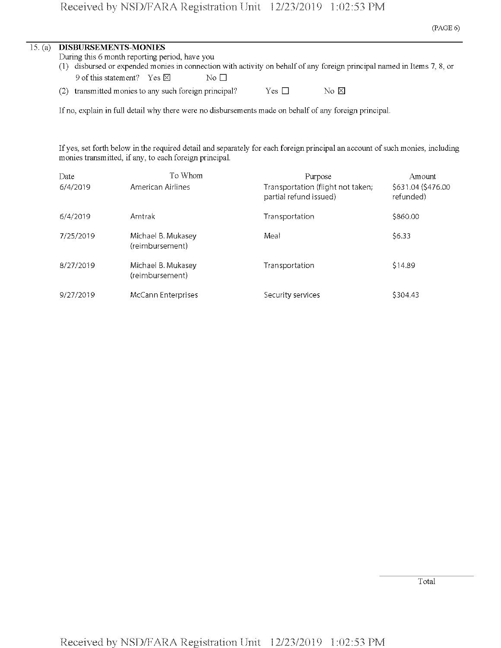| 15. (a) DISBURSEMENTS-MONIES                   |                  |                                                                                                                         |
|------------------------------------------------|------------------|-------------------------------------------------------------------------------------------------------------------------|
| During this 6 month reporting period, have you |                  |                                                                                                                         |
|                                                |                  | (1) disbursed or expended monies in connection with activity on behalf of any foreign principal named in Items 7, 8, or |
| 9 of this statement? Yes $\boxtimes$           | $\rm No~\Gamma1$ |                                                                                                                         |

| (2) transmitted monies to any such foreign principal? | Yes $\Box$ | No E |
|-------------------------------------------------------|------------|------|
|                                                       |            |      |

If no, explain in full detail why there were no disbursements made on behalf of any foreign principal.

If yes, set forth below in the required detail and separately for each foreign principal an account of such monies, including monies transmitted, if any, to each foreign principal.

| Date      | To Whom                               | Purpose                                                     | Amount                          |
|-----------|---------------------------------------|-------------------------------------------------------------|---------------------------------|
| 6/4/2019  | American Airlines                     | Transportation (flight not taken;<br>partial refund issued) | \$631.04 (\$476.00<br>refunded) |
| 6/4/2019  | Amtrak                                | Transportation                                              | \$860.00                        |
| 7/25/2019 | Michael B. Mukasey<br>(reimbursement) | Meal                                                        | \$6.33                          |
| 8/27/2019 | Michael B. Mukasey<br>(reimbursement) | <b>Transportation</b>                                       | \$14.89                         |
| 9/27/2019 | McCann Enterprises                    | Security services                                           | \$304.43                        |

Total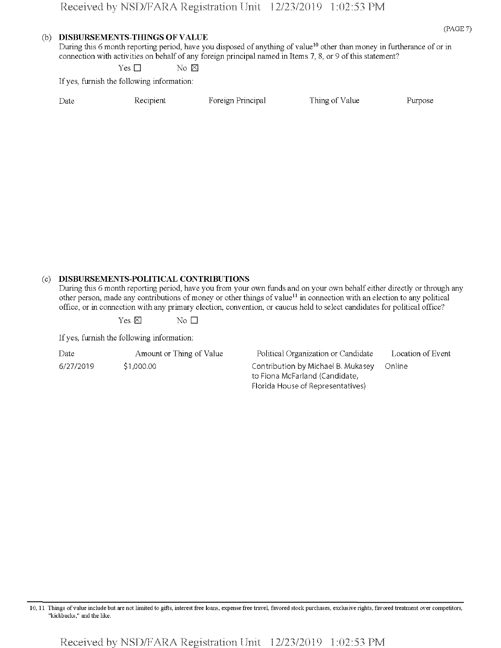#### **(b) DISBURSEMENTS-TfflNGS OF VALUE**

During this 6 month reporting period, have you disposed of anything of value<sup>10</sup> other than money in furtherance of or in connection with activities on behalf of any foreign principal named in Items 7, 8, or 9 ofthis statement?

Yes  $\square$  No  $\boxtimes$ 

If yes, furnish the following information:

| Date | Recipient | Foreign Principal | Thing of Value | Purpose |
|------|-----------|-------------------|----------------|---------|

#### (c) **DISBURSEMENTS-POLITICAL CONTRIBUTIONS**

During this 6 month reporting period, have you from your own funds and on your own behalf either directly or through any other person, made any contributions of money or other things of value<sup>11</sup> in connection with an election to any political office, or in connection with any primary election, convention, or caucus held to select candidates for political office?

 $Yes \boxtimes$  No  $\Box$ 

If yes, furnish the following information:

| Date      | Amount or Thing of Value |
|-----------|--------------------------|
| 6/27/2019 | \$1,000.00               |

Political Organization or Candidate Location of Event Contribution by Michael B. Mukasey Online to Fiona McFarland (Candidate, Florida House of Representatives)

10,11 Things ofvalue include but are not limited to gifts, interest free loans, expense free travel, favored stock purchases, exclusive rights, favored treatment over competitors, "kickbacks," and the like.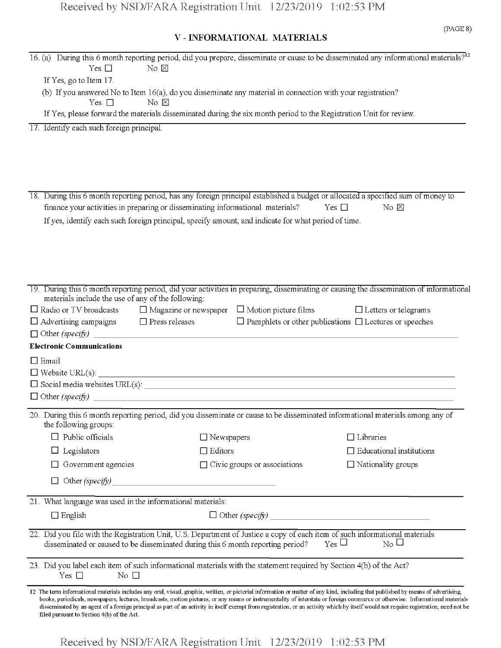## V - INFORMATIONAL MATERIALS

|              |                                                                                |                         |                   | 16. (a) During this 6 month reporting period, did you prepare, disseminate or cause to be disseminated any informational materials? <sup>12</sup>                                                                                                                                                                                                                                                                                                                                                                                                             |                     |                                 |  |
|--------------|--------------------------------------------------------------------------------|-------------------------|-------------------|---------------------------------------------------------------------------------------------------------------------------------------------------------------------------------------------------------------------------------------------------------------------------------------------------------------------------------------------------------------------------------------------------------------------------------------------------------------------------------------------------------------------------------------------------------------|---------------------|---------------------------------|--|
|              | Yes $\Box$                                                                     | No $\boxtimes$          |                   |                                                                                                                                                                                                                                                                                                                                                                                                                                                                                                                                                               |                     |                                 |  |
|              | If Yes, go to Item 17.                                                         |                         |                   |                                                                                                                                                                                                                                                                                                                                                                                                                                                                                                                                                               |                     |                                 |  |
|              |                                                                                |                         |                   | (b) If you answered No to Item 16(a), do you disseminate any material in connection with your registration?                                                                                                                                                                                                                                                                                                                                                                                                                                                   |                     |                                 |  |
|              | Yes $\Box$                                                                     | No $\boxtimes$          |                   | If Yes, please forward the materials disseminated during the six month period to the Registration Unit for review.                                                                                                                                                                                                                                                                                                                                                                                                                                            |                     |                                 |  |
|              |                                                                                |                         |                   |                                                                                                                                                                                                                                                                                                                                                                                                                                                                                                                                                               |                     |                                 |  |
|              | 17. Identify each such foreign principal.                                      |                         |                   |                                                                                                                                                                                                                                                                                                                                                                                                                                                                                                                                                               |                     |                                 |  |
|              |                                                                                |                         |                   |                                                                                                                                                                                                                                                                                                                                                                                                                                                                                                                                                               |                     |                                 |  |
|              |                                                                                |                         |                   |                                                                                                                                                                                                                                                                                                                                                                                                                                                                                                                                                               |                     |                                 |  |
|              |                                                                                |                         |                   |                                                                                                                                                                                                                                                                                                                                                                                                                                                                                                                                                               |                     |                                 |  |
|              |                                                                                |                         |                   |                                                                                                                                                                                                                                                                                                                                                                                                                                                                                                                                                               |                     |                                 |  |
|              |                                                                                |                         |                   | 18. During this 6 month reporting period, has any foreign principal established a budget or allocated a specified sum of money to                                                                                                                                                                                                                                                                                                                                                                                                                             |                     |                                 |  |
|              | finance your activities in preparing or disseminating informational materials? |                         |                   |                                                                                                                                                                                                                                                                                                                                                                                                                                                                                                                                                               | Yes $\Box$          | $No \n  \boxtimes$              |  |
|              |                                                                                |                         |                   | If yes, identify each such foreign principal, specify amount, and indicate for what period of time.                                                                                                                                                                                                                                                                                                                                                                                                                                                           |                     |                                 |  |
|              |                                                                                |                         |                   |                                                                                                                                                                                                                                                                                                                                                                                                                                                                                                                                                               |                     |                                 |  |
|              |                                                                                |                         |                   |                                                                                                                                                                                                                                                                                                                                                                                                                                                                                                                                                               |                     |                                 |  |
|              |                                                                                |                         |                   |                                                                                                                                                                                                                                                                                                                                                                                                                                                                                                                                                               |                     |                                 |  |
|              |                                                                                |                         |                   |                                                                                                                                                                                                                                                                                                                                                                                                                                                                                                                                                               |                     |                                 |  |
|              |                                                                                |                         |                   | 19. During this 6 month reporting period, did your activities in preparing, disseminating or causing the dissemination of informational                                                                                                                                                                                                                                                                                                                                                                                                                       |                     |                                 |  |
|              | materials include the use of any of the following:                             |                         |                   | $\Box$ Radio or TV broadcasts $\Box$ Magazine or newspaper $\Box$ Motion picture films                                                                                                                                                                                                                                                                                                                                                                                                                                                                        |                     | $\Box$ Letters or telegrams     |  |
|              | $\Box$ Advertising campaigns $\Box$ Press releases                             |                         |                   | $\Box$ Pamphlets or other publications $\Box$ Lectures or speeches                                                                                                                                                                                                                                                                                                                                                                                                                                                                                            |                     |                                 |  |
|              | $\Box$ Other (specify)                                                         |                         |                   |                                                                                                                                                                                                                                                                                                                                                                                                                                                                                                                                                               |                     |                                 |  |
|              | <b>Electronic Communications</b>                                               |                         |                   |                                                                                                                                                                                                                                                                                                                                                                                                                                                                                                                                                               |                     |                                 |  |
| $\Box$ Email |                                                                                |                         |                   |                                                                                                                                                                                                                                                                                                                                                                                                                                                                                                                                                               |                     |                                 |  |
|              |                                                                                |                         |                   |                                                                                                                                                                                                                                                                                                                                                                                                                                                                                                                                                               |                     |                                 |  |
|              |                                                                                |                         |                   | $\Box$ Social media websites URL(s): $\Box$                                                                                                                                                                                                                                                                                                                                                                                                                                                                                                                   |                     |                                 |  |
|              |                                                                                |                         |                   |                                                                                                                                                                                                                                                                                                                                                                                                                                                                                                                                                               |                     |                                 |  |
|              |                                                                                |                         |                   |                                                                                                                                                                                                                                                                                                                                                                                                                                                                                                                                                               |                     |                                 |  |
|              | the following groups:                                                          |                         |                   | 20. During this 6 month reporting period, did you disseminate or cause to be disseminated informational materials among any of                                                                                                                                                                                                                                                                                                                                                                                                                                |                     |                                 |  |
|              | Public officials                                                               |                         | $\Box$ Newspapers |                                                                                                                                                                                                                                                                                                                                                                                                                                                                                                                                                               |                     | $\Box$ Libraries                |  |
|              | Legislators                                                                    |                         | $\Box$ Editors    |                                                                                                                                                                                                                                                                                                                                                                                                                                                                                                                                                               |                     | $\Box$ Educational institutions |  |
|              | Government agencies                                                            |                         |                   | $\Box$ Civic groups or associations                                                                                                                                                                                                                                                                                                                                                                                                                                                                                                                           |                     | $\Box$ Nationality groups       |  |
|              | Other $(specify)$                                                              |                         |                   |                                                                                                                                                                                                                                                                                                                                                                                                                                                                                                                                                               |                     |                                 |  |
|              |                                                                                |                         |                   |                                                                                                                                                                                                                                                                                                                                                                                                                                                                                                                                                               |                     |                                 |  |
|              | 21. What language was used in the informational materials:                     |                         |                   |                                                                                                                                                                                                                                                                                                                                                                                                                                                                                                                                                               |                     |                                 |  |
|              | $\Box$ English                                                                 |                         |                   |                                                                                                                                                                                                                                                                                                                                                                                                                                                                                                                                                               |                     |                                 |  |
|              |                                                                                |                         |                   | 22. Did you file with the Registration Unit, U.S. Department of Justice a copy of each item of such informational materials                                                                                                                                                                                                                                                                                                                                                                                                                                   |                     |                                 |  |
|              |                                                                                |                         |                   | disseminated or caused to be disseminated during this 6 month reporting period?                                                                                                                                                                                                                                                                                                                                                                                                                                                                               | $_{\rm Yes}$ $\Box$ | $_{\rm No}$ $\sqcup$            |  |
|              |                                                                                |                         |                   | 23. Did you label each item of such informational materials with the statement required by Section 4(b) of the Act?                                                                                                                                                                                                                                                                                                                                                                                                                                           |                     |                                 |  |
|              | Yes $\square$                                                                  | $\overline{N}$ o $\Box$ |                   |                                                                                                                                                                                                                                                                                                                                                                                                                                                                                                                                                               |                     |                                 |  |
|              | filed pursuant to Section 4(b) of the Act.                                     |                         |                   | 12 The term informational materials includes any oral, visual, graphic, written, or pictorial information or matter of any kind, including that published by means of advertising,<br>books, periodicals, newspapers, lectures, broadcasts, motion pictures, or any means or instrumentality of interstate or foreign commerce or otherwise. Informational materials<br>disseminated by an agent of a foreign principal as part of an activity in itself exempt from registration, or an activity which by itself would not require registration, need not be |                     |                                 |  |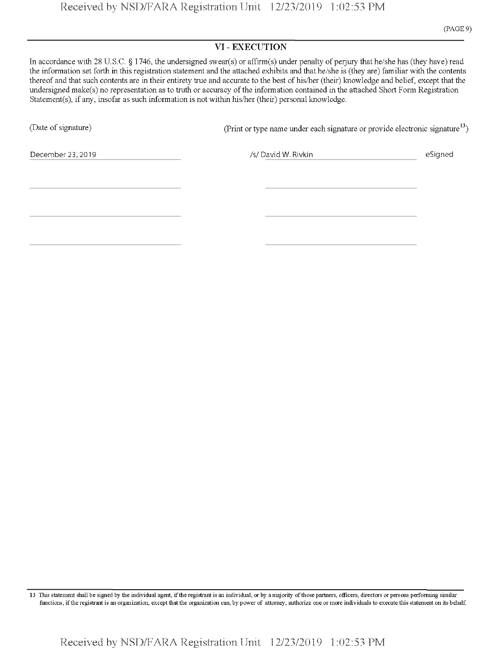#### VI - EXECUTION

In accordance with 28 U.S.C. § 1746, the undersigned swear(s) or affirm(s) under penalty of perjury that he/she has (they have) read the information set forth in this registration statement and the attached exhibits and that he/she is (they are) familiar with the contents thereof and that such contents are in their entirety true and accurate to the best of his/her (their) knowledge and belief, except that the undersigned make(s) no representation as to truth or accuracy of the information contained in the attached Short Form Registration Statement(s), if any, insofar as such information is not within his/her (their) personal knowledge.

(Date of signature) (Print or type name under each signature or provide electronic signature<sup>13</sup>)

December 23,2019 *!s!* David W. Rivkin eSigned

13 This statement shall be signed by the individual agent, if the registrant is an individual, or by a majority of those partners, officers, directors or persons performing similar functions, ifthe registrant is an organization, except that the organization can, by power of attorney, authorize one or more individuals to execute this statement on its behalf.